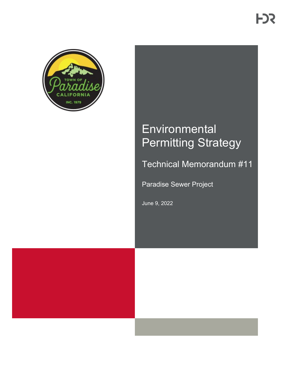

# **Environmental** Permitting Strategy

Technical Memorandum #11

Paradise Sewer Project

June 9, 2022

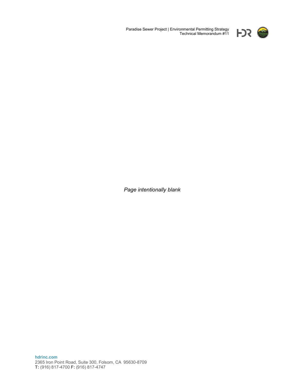

Paradise Sewer Project | Environmental Permitting Strategy Technical Memorandum #11

*Page intentionally blank*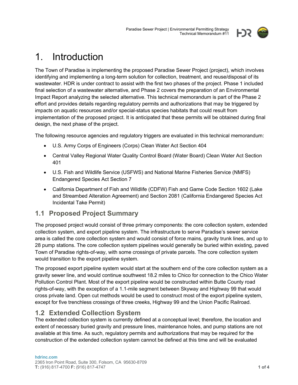

## 1. Introduction

The Town of Paradise is implementing the proposed Paradise Sewer Project (project), which involves identifying and implementing a long-term solution for collection, treatment, and reuse/disposal of its wastewater. HDR is under contract to assist with the first two phases of the project. Phase 1 included final selection of a wastewater alternative, and Phase 2 covers the preparation of an Environmental Impact Report analyzing the selected alternative. This technical memorandum is part of the Phase 2 effort and provides details regarding regulatory permits and authorizations that may be triggered by impacts on aquatic resources and/or special-status species habitats that could result from implementation of the proposed project. It is anticipated that these permits will be obtained during final design, the next phase of the project.

The following resource agencies and regulatory triggers are evaluated in this technical memorandum:

- U.S. Army Corps of Engineers (Corps) Clean Water Act Section 404
- Central Valley Regional Water Quality Control Board (Water Board) Clean Water Act Section 401
- U.S. Fish and Wildlife Service (USFWS) and National Marine Fisheries Service (NMFS) Endangered Species Act Section 7
- California Department of Fish and Wildlife (CDFW) Fish and Game Code Section 1602 (Lake and Streambed Alteration Agreement) and Section 2081 (California Endangered Species Act Incidental Take Permit)

### **1.1 Proposed Project Summary**

The proposed project would consist of three primary components: the core collection system, extended collection system, and export pipeline system. The infrastructure to serve Paradise's sewer service area is called the core collection system and would consist of force mains, gravity trunk lines, and up to 28 pump stations. The core collection system pipelines would generally be buried within existing, paved Town of Paradise rights-of-way, with some crossings of private parcels. The core collection system would transition to the export pipeline system.

The proposed export pipeline system would start at the southern end of the core collection system as a gravity sewer line, and would continue southwest 18.2 miles to Chico for connection to the Chico Water Pollution Control Plant. Most of the export pipeline would be constructed within Butte County road rights-of-way, with the exception of a 1.1-mile segment between Skyway and Highway 99 that would cross private land. Open cut methods would be used to construct most of the export pipeline system, except for five trenchless crossings of three creeks, Highway 99 and the Union Pacific Railroad.

### **1.2 Extended Collection System**

The extended collection system is currently defined at a conceptual level; therefore, the location and extent of necessary buried gravity and pressure lines, maintenance holes, and pump stations are not available at this time. As such, regulatory permits and authorizations that may be required for the construction of the extended collection system cannot be defined at this time and will be evaluated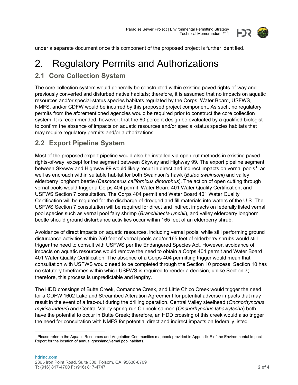Paradise Sewer Project | Environmental Permitting Strategy Technical Memorandum #11



under a separate document once this component of the proposed project is further identified.

### 2. Regulatory Permits and Authorizations

### **2.1 Core Collection System**

The core collection system would generally be constructed within existing paved rights-of-way and previously converted and disturbed native habitats; therefore, it is assumed that no impacts on aquatic resources and/or special-status species habitats regulated by the Corps, Water Board, USFWS, NMFS, and/or CDFW would be incurred by this proposed project component. As such, no regulatory permits from the aforementioned agencies would be required prior to construct the core collection system. It is recommended, however, that the 60 percent design be evaluated by a qualified biologist to confirm the absence of impacts on aquatic resources and/or special-status species habitats that may require regulatory permits and/or authorizations.

#### **2.2 Export Pipeline System**

Most of the proposed export pipeline would also be installed via open cut methods in existing paved rights-of-way, except for the segment between Skyway and Highway 99. The export pipeline segment between Skyway and Highway 99 would likely result in direct and indirect impacts on vernal pools<sup>1</sup>, as well as encroach within suitable habitat for both Swainson's hawk (*Buteo swainsoni*) and valley elderberry longhorn beetle (*Desmocerus californicus dimorphus*). The action of open cutting through vernal pools would trigger a Corps 404 permit, Water Board 401 Water Quality Certification, and USFWS Section 7 consultation. The Corps 404 permit and Water Board 401 Water Quality Certification will be required for the discharge of dredged and fill materials into waters of the U.S. The USFWS Section 7 consultation will be required for direct and indirect impacts on federally listed vernal pool species such as vernal pool fairy shrimp (*Branchinecta lynchii*), and valley elderberry longhorn beetle should ground disturbance activities occur within 165 feet of an elderberry shrub.

Avoidance of direct impacts on aquatic resources, including vernal pools, while still performing ground disturbance activities within 250 feet of vernal pools and/or 165 feet of elderberry shrubs would still trigger the need to consult with USFWS per the Endangered Species Act. However, avoidance of impacts on aquatic resources would remove the need to obtain a Corps 404 permit and Water Board 401 Water Quality Certification. The absence of a Corps 404 permitting trigger would mean that consultation with USFWS would need to be completed through the Section 10 process. Section 10 has no statutory timeframes within which USFWS is required to render a decision, unlike Section 7; therefore, this process is unpredictable and lengthy.

The HDD crossings of Butte Creek, Comanche Creek, and Little Chico Creek would trigger the need for a CDFW 1602 Lake and Streambed Alteration Agreement for potential adverse impacts that may result in the event of a frac-out during the drilling operation. Central Valley steelhead (*Onchorhynchus mykiss irideus*) and Central Valley spring-run Chinook salmon (*Onchorhynchus tshawytscha*) both have the potential to occur in Butte Creek; therefore, an HDD crossing of this creek would also trigger the need for consultation with NMFS for potential direct and indirect impacts on federally listed

<span id="page-3-0"></span><sup>1</sup> Please refer to the Aquatic Resources and Vegetation Communities mapbook provided in Appendix E of the Environmental Impact Report for the location of annual grassland/vernal pool habitats.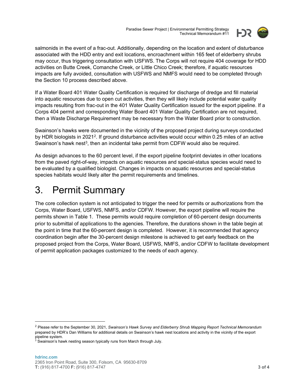

salmonids in the event of a frac-out. Additionally, depending on the location and extent of disturbance associated with the HDD entry and exit locations, encroachment within 165 feet of elderberry shrubs may occur, thus triggering consultation with USFWS. The Corps will not require 404 coverage for HDD activities on Butte Creek, Comanche Creek, or Little Chico Creek; therefore, if aquatic resources impacts are fully avoided, consultation with USFWS and NMFS would need to be completed through the Section 10 process described above.

If a Water Board 401 Water Quality Certification is required for discharge of dredge and fill material into aquatic resources due to open cut activities, then they will likely include potential water quality impacts resulting from frac-out in the 401 Water Quality Certification issued for the export pipeline. If a Corps 404 permit and corresponding Water Board 401 Water Quality Certification are not required, then a Waste Discharge Requirement may be necessary from the Water Board prior to construction.

Swainson's hawks were documented in the vicinity of the proposed project during surveys conducted by HDR biologists in [2](#page-4-0)021<sup>2</sup>. If ground disturbance activities would occur within 0.25 miles of an active Swainson's hawk nest<sup>3</sup>, then an incidental take permit from CDFW would also be required.

As design advances to the 60 percent level, if the export pipeline footprint deviates in other locations from the paved right-of-way, impacts on aquatic resources and special-status species would need to be evaluated by a qualified biologist. Changes in impacts on aquatic resources and special-status species habitats would likely alter the permit requirements and timelines.

## 3. Permit Summary

The core collection system is not anticipated to trigger the need for permits or authorizations from the Corps, Water Board, USFWS, NMFS, and/or CDFW. However, the export pipeline will require the permits shown in Table 1. These permits would require completion of 60-percent design documents prior to submittal of applications to the agencies. Therefore, the durations shown in the table begin at the point in time that the 60-percent design is completed. However, it is recommended that agency coordination begin after the 30-percent design milestone is achieved to get early feedback on the proposed project from the Corps, Water Board, USFWS, NMFS, and/or CDFW to facilitate development of permit application packages customized to the needs of each agency.

<span id="page-4-0"></span><sup>2</sup> Please refer to the September 30, 2021, *Swainson's Hawk Survey and Elderberry Shrub Mapping Report Technical Memorandum* prepared by HDR's Dan Williams for additional details on Swainson's hawk nest locations and activity in the vicinity of the export pipeline system.

<span id="page-4-1"></span> $3$  Swainson's hawk nesting season typically runs from March through July.